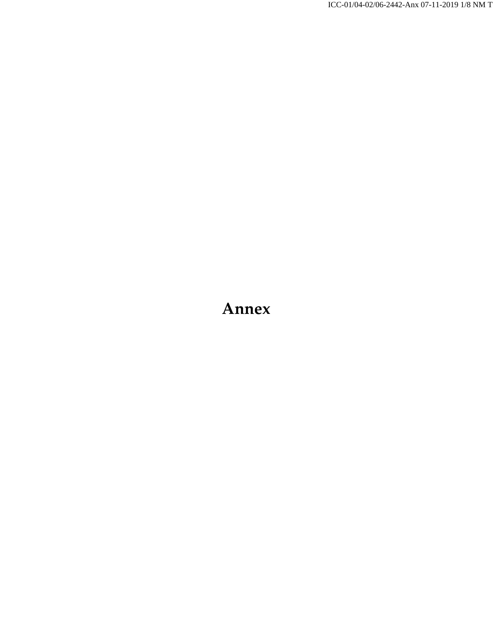ICC-01/04-02/06-2442-Anx 07-11-2019 1/8 NM T

# **Annex**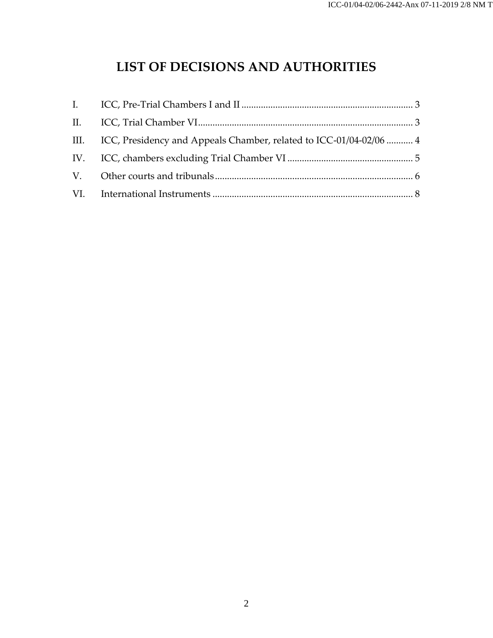## **LIST OF DECISIONS AND AUTHORITIES**

| III. ICC, Presidency and Appeals Chamber, related to ICC-01/04-02/06  4 |  |
|-------------------------------------------------------------------------|--|
|                                                                         |  |
|                                                                         |  |
|                                                                         |  |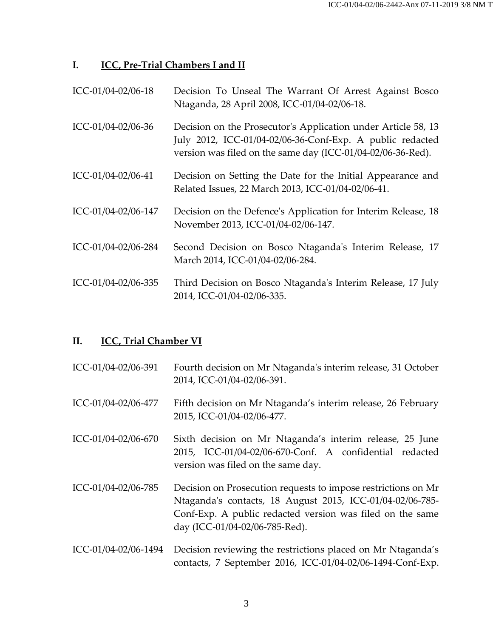### <span id="page-2-0"></span>**I. ICC, Pre-Trial Chambers I and II**

| ICC-01/04-02/06-18 | Decision To Unseal The Warrant Of Arrest Against Bosco |
|--------------------|--------------------------------------------------------|
|                    | Ntaganda, 28 April 2008, ICC-01/04-02/06-18.           |

- ICC-01/04-02/06-36 Decision on the Prosecutor's Application under Article 58, 13 July 2012, ICC-01/04-02/06-36-Conf-Exp. A public redacted version was filed on the same day (ICC-01/04-02/06-36-Red).
- ICC-01/04-02/06-41 Decision on Setting the Date for the Initial Appearance and Related Issues, 22 March 2013, ICC-01/04-02/06-41.
- ICC-01/04-02/06-147 Decision on the Defence's Application for Interim Release, 18 November 2013, ICC-01/04-02/06-147.
- ICC-01/04-02/06-284 Second Decision on Bosco Ntaganda's Interim Release, 17 March 2014, ICC-01/04-02/06-284.
- ICC-01/04-02/06-335 Third Decision on Bosco Ntaganda's Interim Release, 17 July 2014, ICC-01/04-02/06-335.

## <span id="page-2-1"></span>**II. ICC, Trial Chamber VI**

| ICC-01/04-02/06-391 | Fourth decision on Mr Ntaganda's interim release, 31 October |
|---------------------|--------------------------------------------------------------|
|                     | 2014, ICC-01/04-02/06-391.                                   |

- ICC-01/04-02/06-477 Fifth decision on Mr Ntaganda's interim release, 26 February 2015, ICC-01/04-02/06-477.
- ICC-01/04-02/06-670 Sixth decision on Mr Ntaganda's interim release, 25 June 2015, ICC-01/04-02/06-670-Conf. A confidential redacted version was filed on the same day.
- ICC-01/04-02/06-785 Decision on Prosecution requests to impose restrictions on Mr Ntaganda's contacts, 18 August 2015, ICC-01/04-02/06-785- Conf-Exp. A public redacted version was filed on the same day (ICC-01/04-02/06-785-Red).
- ICC-01/04-02/06-1494 Decision reviewing the restrictions placed on Mr Ntaganda's contacts, 7 September 2016, ICC-01/04-02/06-1494-Conf-Exp.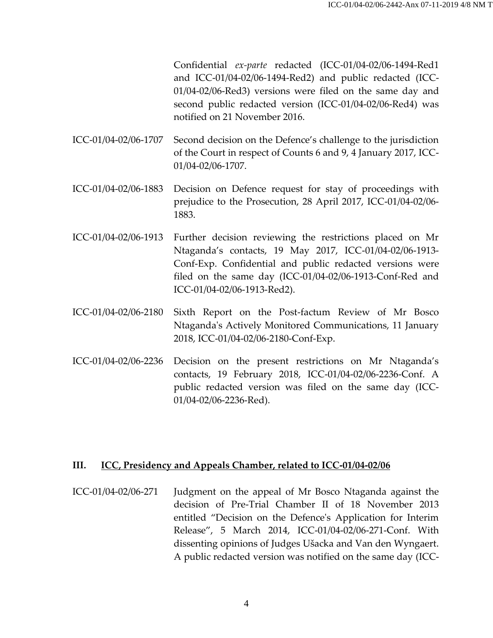Confidential *ex-parte* redacted (ICC-01/04-02/06-1494-Red1 and ICC-01/04-02/06-1494-Red2) and public redacted (ICC-01/04-02/06-Red3) versions were filed on the same day and second public redacted version (ICC-01/04-02/06-Red4) was notified on 21 November 2016.

ICC-01/04-02/06-1707 Second decision on the Defence's challenge to the jurisdiction of the Court in respect of Counts 6 and 9, 4 January 2017, ICC-01/04-02/06-1707.

- ICC-01/04-02/06-1883 Decision on Defence request for stay of proceedings with prejudice to the Prosecution, 28 April 2017, ICC-01/04-02/06- 1883.
- ICC-01/04-02/06-1913 Further decision reviewing the restrictions placed on Mr Ntaganda's contacts, 19 May 2017, ICC-01/04-02/06-1913- Conf-Exp. Confidential and public redacted versions were filed on the same day (ICC-01/04-02/06-1913-Conf-Red and ICC-01/04-02/06-1913-Red2).
- ICC-01/04-02/06-2180 Sixth Report on the Post-factum Review of Mr Bosco Ntaganda's Actively Monitored Communications, 11 January 2018, ICC-01/04-02/06-2180-Conf-Exp.
- ICC-01/04-02/06-2236 Decision on the present restrictions on Mr Ntaganda's contacts, 19 February 2018, ICC-01/04-02/06-2236-Conf. A public redacted version was filed on the same day (ICC-01/04-02/06-2236-Red).

#### <span id="page-3-0"></span>**III. ICC, Presidency and Appeals Chamber, related to ICC-01/04-02/06**

ICC-01/04-02/06-271 Judgment on the appeal of Mr Bosco Ntaganda against the decision of Pre-Trial Chamber II of 18 November 2013 entitled "Decision on the Defence's Application for Interim Release", 5 March 2014, ICC-01/04-02/06-271-Conf. With dissenting opinions of Judges Ušacka and Van den Wyngaert. A public redacted version was notified on the same day (ICC-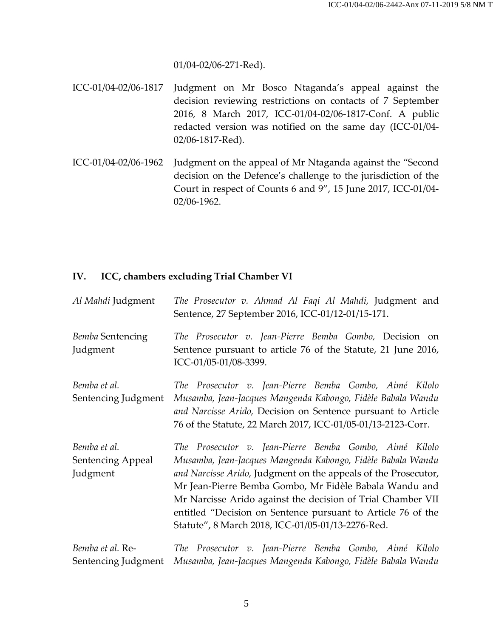01/04-02/06-271-Red).

- ICC-01/04-02/06-1817 Judgment on Mr Bosco Ntaganda's appeal against the decision reviewing restrictions on contacts of 7 September 2016, 8 March 2017, ICC-01/04-02/06-1817-Conf. A public redacted version was notified on the same day (ICC-01/04- 02/06-1817-Red).
- ICC-01/04-02/06-1962 Judgment on the appeal of Mr Ntaganda against the "Second decision on the Defence's challenge to the jurisdiction of the Court in respect of Counts 6 and 9", 15 June 2017, ICC-01/04- 02/06-1962.

#### <span id="page-4-0"></span>**IV. ICC, chambers excluding Trial Chamber VI**

| Al Mahdi Judgment                             | The Prosecutor v. Ahmad Al Faqi Al Mahdi, Judgment and<br>Sentence, 27 September 2016, ICC-01/12-01/15-171.                                                                                                                                                                                                                                                                                                                           |
|-----------------------------------------------|---------------------------------------------------------------------------------------------------------------------------------------------------------------------------------------------------------------------------------------------------------------------------------------------------------------------------------------------------------------------------------------------------------------------------------------|
| Bemba Sentencing<br>Judgment                  | The Prosecutor v. Jean-Pierre Bemba Gombo, Decision on<br>Sentence pursuant to article 76 of the Statute, 21 June 2016,<br>ICC-01/05-01/08-3399.                                                                                                                                                                                                                                                                                      |
| Bemba et al.<br>Sentencing Judgment           | The Prosecutor v. Jean-Pierre Bemba Gombo, Aimé Kilolo<br>Musamba, Jean-Jacques Mangenda Kabongo, Fidèle Babala Wandu<br>and Narcisse Arido, Decision on Sentence pursuant to Article<br>76 of the Statute, 22 March 2017, ICC-01/05-01/13-2123-Corr.                                                                                                                                                                                 |
| Bemba et al.<br>Sentencing Appeal<br>Judgment | The Prosecutor v. Jean-Pierre Bemba Gombo, Aimé Kilolo<br>Musamba, Jean-Jacques Mangenda Kabongo, Fidèle Babala Wandu<br>and Narcisse Arido, Judgment on the appeals of the Prosecutor,<br>Mr Jean-Pierre Bemba Gombo, Mr Fidèle Babala Wandu and<br>Mr Narcisse Arido against the decision of Trial Chamber VII<br>entitled "Decision on Sentence pursuant to Article 76 of the<br>Statute", 8 March 2018, ICC-01/05-01/13-2276-Red. |
| Bemba et al. Re-<br>Sentencing Judgment       | The Prosecutor v. Jean-Pierre Bemba Gombo, Aimé Kilolo<br>Musamba, Jean-Jacques Mangenda Kabongo, Fidèle Babala Wandu                                                                                                                                                                                                                                                                                                                 |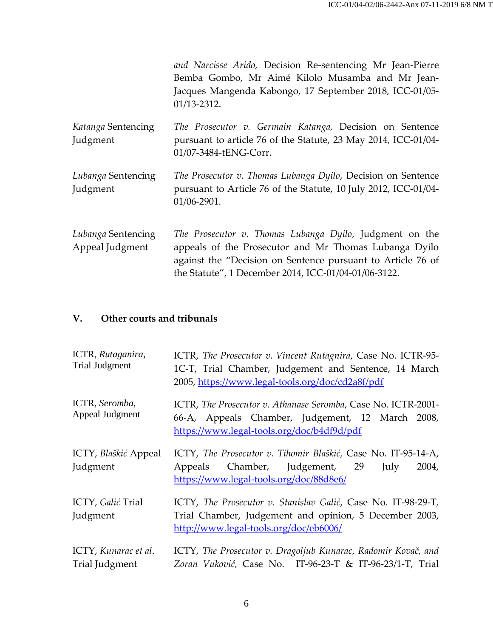|                                       | and Narcisse Arido, Decision Re-sentencing Mr Jean-Pierre<br>Bemba Gombo, Mr Aimé Kilolo Musamba and Mr Jean-<br>Jacques Mangenda Kabongo, 17 September 2018, ICC-01/05-<br>$01/13 - 2312.$                                             |
|---------------------------------------|-----------------------------------------------------------------------------------------------------------------------------------------------------------------------------------------------------------------------------------------|
| Katanga Sentencing<br>Judgment        | The Prosecutor v. Germain Katanga, Decision on Sentence<br>pursuant to article 76 of the Statute, 23 May 2014, ICC-01/04-<br>01/07-3484-tENG-Corr.                                                                                      |
| Lubanga Sentencing<br>Judgment        | The Prosecutor v. Thomas Lubanga Dyilo, Decision on Sentence<br>pursuant to Article 76 of the Statute, 10 July 2012, ICC-01/04-<br>01/06-2901.                                                                                          |
| Lubanga Sentencing<br>Appeal Judgment | The Prosecutor v. Thomas Lubanga Dyilo, Judgment on the<br>appeals of the Prosecutor and Mr Thomas Lubanga Dyilo<br>against the "Decision on Sentence pursuant to Article 76 of<br>the Statute", 1 December 2014, ICC-01/04-01/06-3122. |

## <span id="page-5-0"></span>**V. Other courts and tribunals**

| ICTR, Rutaganira,<br><b>Trial Judgment</b> | ICTR, The Prosecutor v. Vincent Rutagnira, Case No. ICTR-95-<br>1C-T, Trial Chamber, Judgement and Sentence, 14 March<br>2005, https://www.legal-tools.org/doc/cd2a8f/pdf |
|--------------------------------------------|---------------------------------------------------------------------------------------------------------------------------------------------------------------------------|
| ICTR, Seromba,<br>Appeal Judgment          | ICTR, The Prosecutor v. Athanase Seromba, Case No. ICTR-2001-<br>66-A, Appeals Chamber, Judgement, 12 March 2008,<br>https://www.legal-tools.org/doc/b4df9d/pdf           |
| ICTY, Blaškić Appeal<br>Judgment           | ICTY, The Prosecutor v. Tihomir Blaškić, Case No. IT-95-14-A,<br>Appeals Chamber, Judgement, 29<br>2004,<br>July<br>https://www.legal-tools.org/doc/88d8e6/               |
| ICTY, Galić Trial<br>Judgment              | ICTY, The Prosecutor v. Stanislav Galić, Case No. IT-98-29-T,<br>Trial Chamber, Judgement and opinion, 5 December 2003,<br>http://www.legal-tools.org/doc/eb6006/         |
| ICTY, Kunarac et al.<br>Trial Judgment     | ICTY, The Prosecutor v. Dragoljub Kunarac, Radomir Kovač, and<br>Zoran Vuković, Case No. IT-96-23-T & IT-96-23/1-T, Trial                                                 |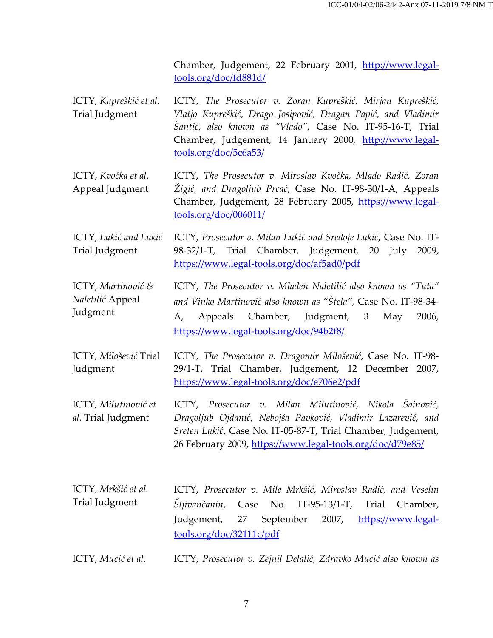Chamber, Judgement, 22 February 2001, [http://www.legal](http://www.legal-tools.org/doc/fd881d/)[tools.org/doc/fd881d/](http://www.legal-tools.org/doc/fd881d/)

- ICTY, *Kupreškić et al.* Trial Judgment ICTY, *The Prosecutor v. Zoran Kupreškić, Mirjan Kupreškić, Vlatjo Kupreškić, Drago Josipović, Dragan Papić, and Vladimir Šantić, also known as "Vlado"*, Case No. IT-95-16-T, Trial Chamber, Judgement, 14 January 2000, [http://www.legal](http://www.legal-tools.org/doc/5c6a53/)[tools.org/doc/5c6a53/](http://www.legal-tools.org/doc/5c6a53/)
- ICTY, *Kvočka et al*. Appeal Judgment ICTY, *The Prosecutor v. Miroslav Kvočka, Mlado Radić, Zoran Žigić, and Dragoljub Prcać,* Case No. IT-98-30/1-A, Appeals Chamber, Judgement, 28 February 2005, [https://www.legal](https://www.legal-tools.org/doc/006011/)[tools.org/doc/006011/](https://www.legal-tools.org/doc/006011/)
- ICTY, *Lukić and Lukić* Trial Judgment ICTY, *Prosecutor v. Milan Lukić and Sredoje Lukić*, Case No. IT-98-32/1-T, Trial Chamber, Judgement, 20 July 2009, <https://www.legal-tools.org/doc/af5ad0/pdf>
- ICTY, *Martinović & Naletilić* Appeal Judgment ICTY, *The Prosecutor v. Mladen Naletilić also known as "Tuta" and Vinko Martinović also known as "Štela",* Case No. IT-98-34- A, Appeals Chamber, Judgment, 3 May 2006, <https://www.legal-tools.org/doc/94b2f8/>
- ICTY*, Milošević* Trial Judgment ICTY, *The Prosecutor v. Dragomir Milošević*, Case No. IT-98- 29/1-T, Trial Chamber, Judgement, 12 December 2007, <https://www.legal-tools.org/doc/e706e2/pdf>
- ICTY*, Milutinović et al.* Trial Judgment ICTY, *Prosecutor v. Milan Milutinović, Nikola Šainović, Dragoljub Ojdanić, Nebojša Pavković, Vladimir Lazarević, and Sreten Lukić*, Case No. IT-05-87-T, Trial Chamber, Judgement, 26 February 2009, <https://www.legal-tools.org/doc/d79e85/>
- ICTY, *Mrkšić et al.* Trial Judgment ICTY, *Prosecutor v. Mile Mrkšić, Miroslav Radić, and Veselin Šljivančanin*, Case No. IT-95-13/1-T, Trial Chamber, Judgement, 27 September 2007, [https://www.legal](https://www.legal-tools.org/doc/32111c/pdf)[tools.org/doc/32111c/pdf](https://www.legal-tools.org/doc/32111c/pdf)
- ICTY, *Mucić et al.* ICTY, *Prosecutor v*. *Zejnil Delalić, Zdravko Mucić also known as*